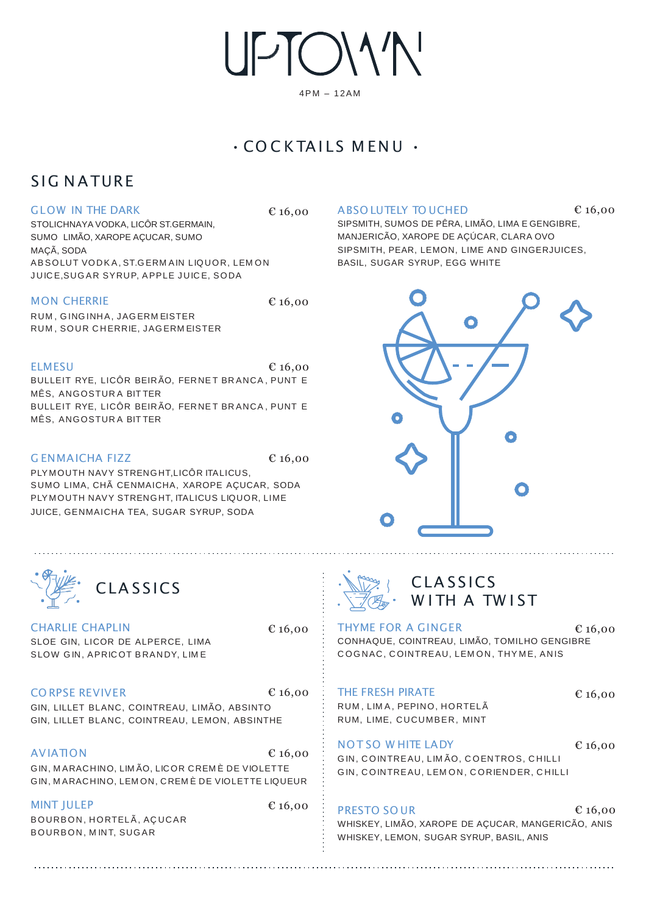UPTOM'N'

### 4PM – 12AM

## • CO C K TAI LS M EN U •

## SIG NATURF

### GLOW IN THE DARK

AB SOLUT VODK A, ST.G ERM AIN LIQUOR, LEM ON JUICE, SUGAR SYRUP, APPLE JUICE, SODA STOLICHNAYA VODKA, LICÔR ST.GERMAIN, SUMO LIMÃO, XAROPE AÇUCAR, SUMO MAÇÃ, SODA

#### MON CHERRIE

€ 16,00

RUM , G ING INHA, JAG ERM EISTER RUM , SOUR C HERRIE, JAG ERM EISTER

#### $E16,00$

BULLEIT RYE, LICÔR BEIR ÃO, FER NE T BR ANCA , PUNT E MÊS, ANGOSTUR A BIT TER BULLEIT RYE, LICÔR BEIR ÃO, FER NE T BR ANCA , PUNT E MÊS, ANGOSTUR A BIT TER

### G ENMAICHA FIZZ  $\epsilon$  16,00

PLY MOUTH NAVY STRENGHT,LICÔR ITALICUS, SUMO LIMA, CHÃ CENMAICHA, XAROPE AÇUCAR, SODA PLY MOUTH NAVY STRENGHT, ITALICUS LIQUOR, LIME JUICE, GENMAICHA TEA, SUGAR SYRUP, SODA



CHARLIE CHAPLIN SLOE GIN, LICOR DE ALPERCE, LIMA SLOW GIN, APRICOT BRANDY, LIME

€ 16,00

€ 16,00

CO RPSE REVIVER  $6.16,00$ 

GIN, LILLET BLANC, COINTREAU, LIMÃO, ABSINTO GIN, LILLET BLANC, COINTREAU, LEMON, ABSINTHE

AVIATION € 16,00 GIN, M ARACHINO, LIM ÃO, LICOR CREM È DE VIOLETTE GIN, M ARACHINO, LEM ON, CREM È DE VIOLETTE LIQUEUR

MINT JULEP BOURBON, HORTELÃ, AÇUCAR B OURB ON, M INT, SUG AR

#### $\epsilon$  16.00 ABSO LUTELY TO UCHED  $\epsilon$  16,00

SIPSMITH, SUMOS DE PÊRA, LIMÃO, LIMA E GENGIBRE, MANJERICÃO, XAROPE DE AÇÚCAR, CLARA OVO SIPSMITH, PEAR, LEMON, LIME AND GINGERJUICES, BASIL, SUGAR SYRUP, EGG WHITE





## **CLASSICS** WITH A TWIST

THYME FOR A GINGER CONHAQUE, COINTREAU, LIMÃO, TOMILHO GENGIBRE COGNAC, COINTREAU, LEMON, THYME, ANIS € 16,00

THE FRESH PIRATE

€ 16,00

€ 16,00

RUM , LIM A , PEPINO, HORTELÃ RUM, LIME, CUCUMBER, MINT

### NOT SO W HITE LADY

G IN, C OINTREAU, LIM ÃO, C OENTROS, C HILLI G IN, C OINTREAU, LEM ON , C ORIENDER, C HILLI

#### PRESTO SO UR € 16,00

WHISKEY, LIMÃO, XAROPE DE AÇUCAR, MANGERICÃO, ANIS WHISKEY, LEMON, SUGAR SYRUP, BASIL, ANIS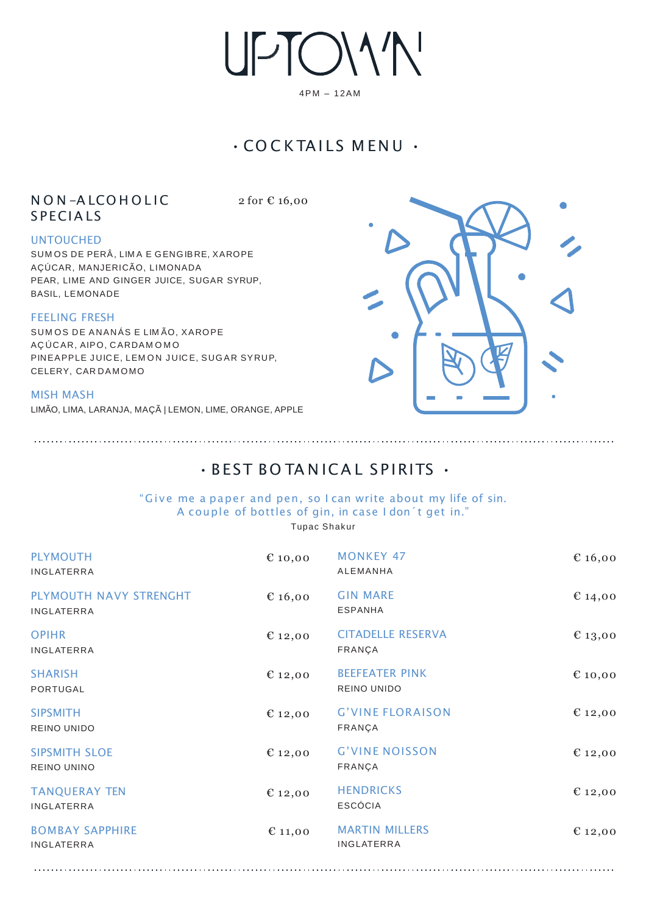UPTOMN

4PM – 12AM

## • CO C K TAI LS M EN U •

### N O N -A LCO H O L IC **S P ECIALS**

2 for € 16,00

### UNTOUCHED

SUM OS DE PERÂ, LIM A E GENGIB RE, XAROPE AÇÚCAR, MANJERICÃO, LIMONADA PEAR, LIME AND GINGER JUICE, SUGAR SYRUP, BASIL, LEMONADE

### FEELING FRESH

SUM OS DE ANANÁS E LIM ÃO, XAROPE AÇ ÚCAR, AIPO, CARDA M O M O PINEAPPLE JUICE, LEMON JUICE, SUGAR SYRUP, CELERY, CAR DAMOMO

#### MISH MASH

LIMÃO, LIMA, LARANJA, MAÇÃ | LEMON, LIME, ORANGE, APPLE



## $\cdot$  BEST BO TANICAL SPIRITS  $\cdot$

### "Give me a paper and pen, so I can write about my life of sin. A couple of bottles of gin, in case I don´t get in."

Tupac Shakur

| <b>PLYMOUTH</b><br>INGLATERRA              | € 10,00   | <b>MONKEY 47</b><br><b>ALEMANHA</b>        | € 16,00 |
|--------------------------------------------|-----------|--------------------------------------------|---------|
| PLYMOUTH NAVY STRENGHT<br>INGLATERRA       | € 16,00   | <b>GIN MARE</b><br><b>ESPANHA</b>          | € 14,00 |
| <b>OPIHR</b><br><b>INGLATERRA</b>          | € 12,00   | <b>CITADELLE RESERVA</b><br>FRANÇA         | € 13,00 |
| <b>SHARISH</b><br>PORTUGAL                 | € 12,00   | <b>BEEFEATER PINK</b><br>REINO UNIDO       | €10,00  |
| <b>SIPSMITH</b><br><b>REINO UNIDO</b>      | € 12,00   | <b>G'VINE FLORAISON</b><br>FRANÇA          | € 12,00 |
| <b>SIPSMITH SLOE</b><br><b>REINO UNINO</b> | € 12,00   | <b>G'VINE NOISSON</b><br>FRANÇA            | € 12,00 |
| <b>TANQUERAY TEN</b><br><b>INGLATERRA</b>  | € 12,00   | <b>HENDRICKS</b><br><b>ESCÓCIA</b>         | € 12,00 |
| <b>BOMBAY SAPPHIRE</b><br>INGLATERRA       | $E$ 11,00 | <b>MARTIN MILLERS</b><br><b>INGLATERRA</b> | € 12,00 |
|                                            |           |                                            |         |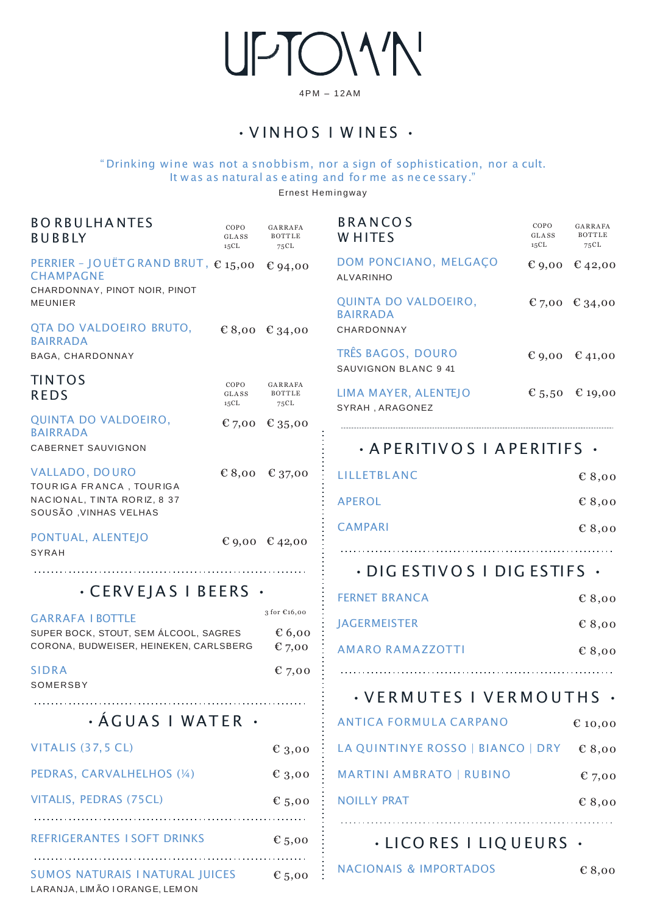UPTOMN

4PM – 12AM

• V IN HO S I W IN ES •

### " Drinking wine was not a snobbism, nor a sign of sophistication, nor a cult. It w as as natural as e ating and fo r me as ne ce ssary."

Ernest Hem ingway

| <b>BORBULHANTES</b><br><b>BUBBLY</b>                                                   | COPO<br>GLASS<br>15CL | GARRAFA<br>BOTTLE<br>75CL | <b>BRANCOS</b><br><b>WHITES</b>           | COPO<br>GLASS<br>15CL | GARRAFA<br>BOTTLE<br>75 C L |
|----------------------------------------------------------------------------------------|-----------------------|---------------------------|-------------------------------------------|-----------------------|-----------------------------|
| PERRIER - JOUËTGRAND BRUT, €15,00<br><b>CHAMPAGNE</b><br>CHARDONNAY, PINOT NOIR, PINOT |                       | € 94,00                   | DOM PONCIANO, MELGAÇO<br>ALVARINHO        |                       | € 9,00 € 42,00              |
| <b>MEUNIER</b>                                                                         |                       |                           | QUINTA DO VALDOEIRO,<br><b>BAIRRADA</b>   |                       | € 7,00 € 34,00              |
| QTA DO VALDOEIRO BRUTO,<br><b>BAIRRADA</b>                                             |                       | € 8,00 € 34,00            | CHARDONNAY                                |                       |                             |
| BAGA, CHARDONNAY                                                                       |                       |                           | TRÊS BAGOS, DOURO<br>SAUVIGNON BLANC 9 41 |                       | € 9,00 € 41,00              |
| <b>TINTOS</b><br><b>REDS</b>                                                           | COPO<br>GLASS<br>15CL | GARRAFA<br>BOTTLE<br>75CL | LIMA MAYER, ALENTEJO<br>SYRAH, ARAGONEZ   |                       | € 5,50 € 19,00              |
| QUINTA DO VALDOEIRO,<br><b>BAIRRADA</b>                                                |                       | € 7,00 € 35,00            |                                           |                       |                             |
| <b>CABERNET SAUVIGNON</b>                                                              |                       |                           | · APERITIVOS   APERITIFS ·                |                       |                             |
| VALLADO, DO URO<br>TOURIGA FRANCA, TOURIGA                                             |                       | € 8,00 € 37,00            | LILLETBLANC                               |                       | € 8,00                      |
| NACIONAL, TINTA RORIZ, 8 37<br>SOUSÃO, VINHAS VELHAS                                   |                       |                           | <b>APEROL</b>                             |                       | E8,00                       |
| PONTUAL, ALENTEJO                                                                      |                       | € 9,00 € 42,00            | <b>CAMPARI</b>                            |                       | E8,00                       |
| SYRAH                                                                                  |                       |                           |                                           |                       |                             |
| $\cdot$ CERVEJAS I BEERS $\cdot$                                                       |                       |                           | $\cdot$ DIG ESTIVOS I DIG ESTIFS $\cdot$  |                       |                             |
|                                                                                        |                       | 3 for €16,00              | <b>FERNET BRANCA</b>                      |                       | € 8,00                      |
| <b>GARRAFA I BOTTLE</b><br>SUPER BOCK, STOUT, SEM ÁLCOOL, SAGRES                       |                       | $\epsilon$ 6,00           | <b>JAGERMEISTER</b>                       |                       | E8,00                       |
| CORONA, BUDWEISER, HEINEKEN, CARLSBERG                                                 |                       | $E$ 7,00                  | <b>AMARO RAMAZZOTTI</b>                   |                       | € 8,00                      |
| <b>SIDRA</b><br>SOMERSBY                                                               |                       | $E$ 7,00                  |                                           |                       |                             |
|                                                                                        |                       |                           | · VERMUTES I VERMOUTHS ·                  |                       |                             |
| · ÁGUAS I WATER ·                                                                      |                       |                           | <b>ANTICA FORMULA CARPANO</b>             |                       | € 10,00                     |
| VITALIS (37,5 CL)                                                                      |                       | $\epsilon$ 3,00           | LA QUINTINYE ROSSO   BIANCO   DRY         |                       | E8,00                       |
| PEDRAS, CARVALHELHOS (1/4)                                                             |                       | $E_{3,00}$                | <b>MARTINI AMBRATO   RUBINO</b>           |                       | $E$ 7,00                    |
| VITALIS, PEDRAS (75CL)                                                                 |                       | $E$ 5,00                  | <b>NOILLY PRAT</b>                        |                       | E8,00                       |
| REFRIGERANTES I SOFT DRINKS                                                            |                       | $\epsilon$ 5,00           | $\cdot$ LICO RES I LIQUEURS $\cdot$       |                       |                             |
| SUMOS NATURAIS I NATURAL JUICES<br>LARANJA, LIMÃO I ORANGE, LEMON                      |                       | $E$ 5,00                  | <b>NACIONAIS &amp; IMPORTADOS</b>         |                       | E8,00                       |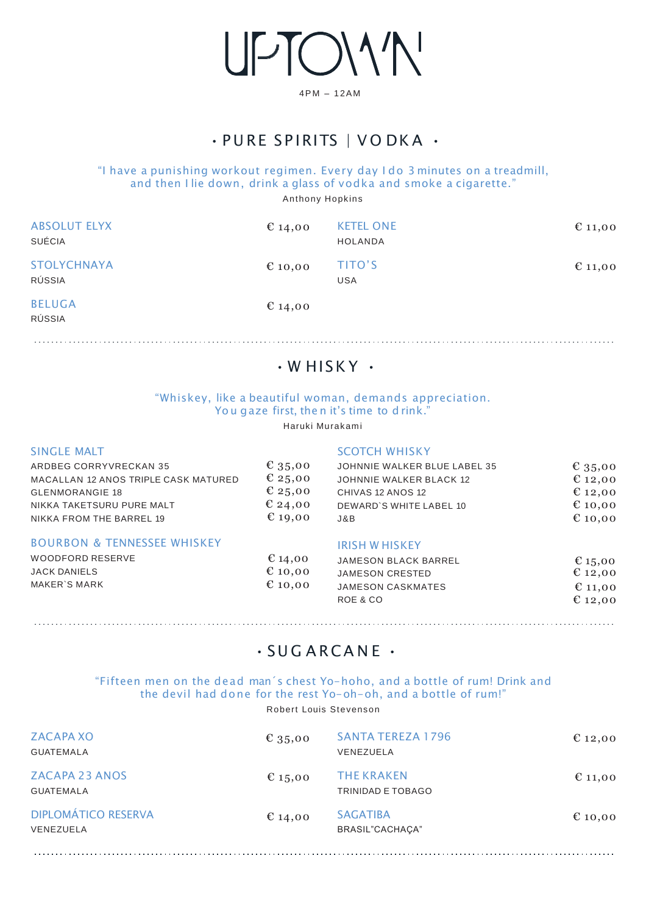UPTOM<sup>N</sup>

4PM – 12AM

## · PURE SPIRITS | VODKA ·

### "I have a punishing workout regimen. Every day I do 3 minutes on a treadmill, and then I lie down, drink a glass of vodka and smoke a cigarette."

Anthony Hopkins

| <b>ABSOLUT ELYX</b><br>SUÉCIA | € 14,00 | <b>KETEL ONE</b><br><b>HOLANDA</b> | $E_{11,00}$ |
|-------------------------------|---------|------------------------------------|-------------|
| <b>STOLYCHNAYA</b><br>RÚSSIA  | € 10,00 | TITO'S<br><b>USA</b>               | $E_{11,00}$ |
| <b>BELUGA</b><br>RÚSSIA       | € 14,00 |                                    |             |

## $\cdot$  W HISKY  $\cdot$

### "Whiskey, like a beautiful woman, demands appreciation. You gaze first, then it's time to drink."

### Haruki Murakami

| <b>SINGLE MALT</b>                     |                  | <b>SCOTCH WHISKY</b>           |             |
|----------------------------------------|------------------|--------------------------------|-------------|
| <b>ARDBEG CORRYVRECKAN 35</b>          | € 35,00          | JOHNNIE WALKER BLUE LABEL 35   | € 35,00     |
| MACALLAN 12 ANOS TRIPLE CASK MATURED   | € 25,00          | <b>JOHNNIE WALKER BLACK 12</b> | € 12,00     |
| <b>GLENMORANGIE 18</b>                 | € 25,00          | CHIVAS 12 ANOS 12              | € 12,00     |
| NIKKA TAKETSURU PURE MALT              | € 24,00          | DEWARD'S WHITE LABEL 10        | € 10,00     |
| NIKKA FROM THE BARREL 19               | $E_{19,00}$      | J&B                            | € 10,00     |
| <b>BOURBON &amp; TENNESSEE WHISKEY</b> |                  | <b>IRISH W HISKEY</b>          |             |
| <b>WOODFORD RESERVE</b>                | € 14,00          | <b>JAMESON BLACK BARREL</b>    | € 15,00     |
| <b>JACK DANIELS</b>                    | $\epsilon$ 10,00 | <b>JAMESON CRESTED</b>         | € 12,00     |
| MAKER'S MARK                           | € 10,00          | <b>JAMESON CASKMATES</b>       | $E_{11,00}$ |
|                                        |                  | ROE & CO                       | € 12,00     |

## $\cdot$  SUGARCANE  $\cdot$

"Fifteen men on the dead man´s chest Yo-hoho, and a bottle of rum! Drink and the devil had done for the rest Yo-oh-oh, and a bottle of rum!" Robert Louis Stevenson

| <b>ZACAPA XO</b><br><b>GUATEMALA</b>      | € 35,00 | <b>SANTA TEREZA 1796</b><br>VENEZUELA  | $\epsilon$ 12,00 |
|-------------------------------------------|---------|----------------------------------------|------------------|
| <b>ZACAPA 23 ANOS</b><br><b>GUATEMALA</b> | € 15,00 | <b>THE KRAKEN</b><br>TRINIDAD E TOBAGO | $E_{11,00}$      |
| <b>DIPLOMÁTICO RESERVA</b><br>VENEZUELA   | € 14,00 | <b>SAGATIBA</b><br>BRASIL"CACHACA"     | $E_{10,00}$      |